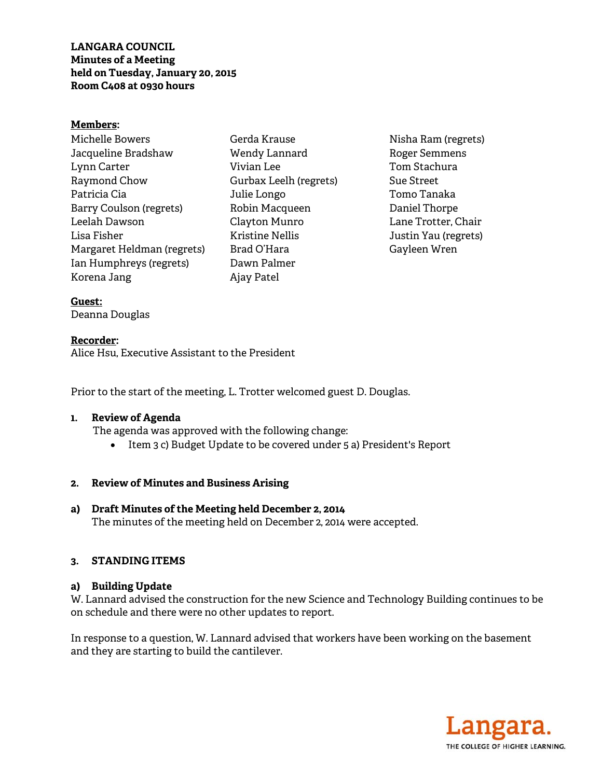**LANGARA COUNCIL Minutes of a Meeting held on Tuesday, January 20, 2015 Room C408 at 0930 hours** 

#### **Members:**

Michelle Bowers Jacqueline Bradshaw Lynn Carter Raymond Chow Patricia Cia Barry Coulson (regrets) Leelah Dawson Lisa Fisher Margaret Heldman (regrets) Ian Humphreys (regrets) Korena Jang

- Gerda Krause Wendy Lannard Vivian Lee Gurbax Leelh (regrets) Julie Longo Robin Macqueen Clayton Munro Kristine Nellis Brad O'Hara Dawn Palmer Ajay Patel
- Nisha Ram (regrets) Roger Semmens Tom Stachura Sue Street Tomo Tanaka Daniel Thorpe Lane Trotter, Chair Justin Yau (regrets) Gayleen Wren

**Guest:** 

Deanna Douglas

**Recorder:**  Alice Hsu, Executive Assistant to the President

Prior to the start of the meeting, L. Trotter welcomed guest D. Douglas.

#### **1. Review of Agenda**

The agenda was approved with the following change:

Item 3 c) Budget Update to be covered under 5 a) President's Report

## **2. Review of Minutes and Business Arising**

**a) Draft Minutes of the Meeting held December 2, 2014**  The minutes of the meeting held on December 2, 2014 were accepted.

## **3. STANDING ITEMS**

## **a) Building Update**

W. Lannard advised the construction for the new Science and Technology Building continues to be on schedule and there were no other updates to report.

In response to a question, W. Lannard advised that workers have been working on the basement and they are starting to build the cantilever.

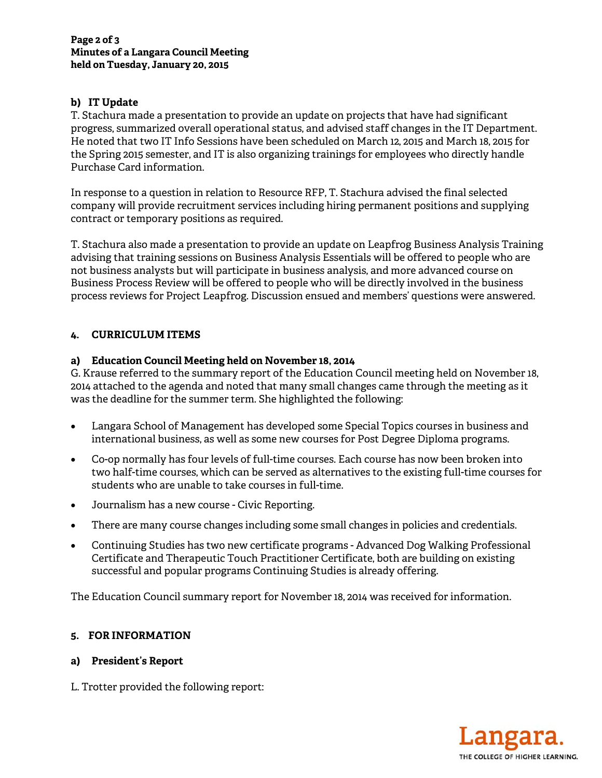# **b) IT Update**

T. Stachura made a presentation to provide an update on projects that have had significant progress, summarized overall operational status, and advised staff changes in the IT Department. He noted that two IT Info Sessions have been scheduled on March 12, 2015 and March 18, 2015 for the Spring 2015 semester, and IT is also organizing trainings for employees who directly handle Purchase Card information.

In response to a question in relation to Resource RFP, T. Stachura advised the final selected company will provide recruitment services including hiring permanent positions and supplying contract or temporary positions as required.

T. Stachura also made a presentation to provide an update on Leapfrog Business Analysis Training advising that training sessions on Business Analysis Essentials will be offered to people who are not business analysts but will participate in business analysis, and more advanced course on Business Process Review will be offered to people who will be directly involved in the business process reviews for Project Leapfrog. Discussion ensued and members' questions were answered.

# **4. CURRICULUM ITEMS**

## **a) Education Council Meeting held on November 18, 2014**

G. Krause referred to the summary report of the Education Council meeting held on November 18, 2014 attached to the agenda and noted that many small changes came through the meeting as it was the deadline for the summer term. She highlighted the following:

- Langara School of Management has developed some Special Topics courses in business and international business, as well as some new courses for Post Degree Diploma programs.
- Co-op normally has four levels of full-time courses. Each course has now been broken into two half-time courses, which can be served as alternatives to the existing full-time courses for students who are unable to take courses in full-time.
- Journalism has a new course Civic Reporting.
- There are many course changes including some small changes in policies and credentials.
- Continuing Studies has two new certificate programs Advanced Dog Walking Professional Certificate and Therapeutic Touch Practitioner Certificate, both are building on existing successful and popular programs Continuing Studies is already offering.

The Education Council summary report for November 18, 2014 was received for information.

## **5. FOR INFORMATION**

## **a) President's Report**

L. Trotter provided the following report: